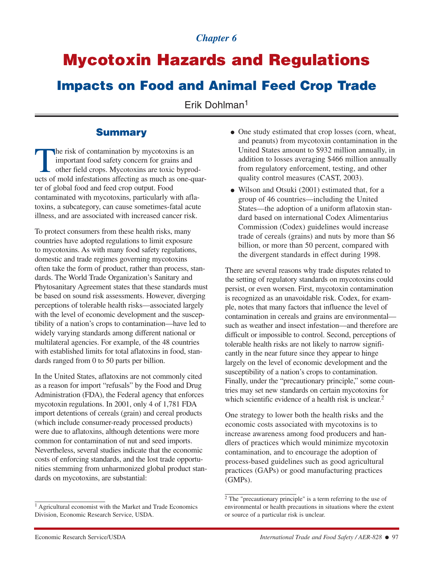# *Chapter 6*

# **Mycotoxin Hazards and Regulations**

# **Impacts on Food and Animal Feed Crop Trade**

Erik Dohlman<sup>1</sup>

### **Summary**

The risk of contamination by mycotoxins is an important food safety concern for grains and other field crops. Mycotoxins are toxic byproucts of mold infestations affecting as much as one-of important food safety concern for grains and other field crops. Mycotoxins are toxic byproducts of mold infestations affecting as much as one-quarter of global food and feed crop output. Food contaminated with mycotoxins, particularly with aflatoxins, a subcategory, can cause sometimes-fatal acute illness, and are associated with increased cancer risk.

To protect consumers from these health risks, many countries have adopted regulations to limit exposure to mycotoxins. As with many food safety regulations, domestic and trade regimes governing mycotoxins often take the form of product, rather than process, standards. The World Trade Organization's Sanitary and Phytosanitary Agreement states that these standards must be based on sound risk assessments. However, diverging perceptions of tolerable health risks—associated largely with the level of economic development and the susceptibility of a nation's crops to contamination—have led to widely varying standards among different national or multilateral agencies. For example, of the 48 countries with established limits for total aflatoxins in food, standards ranged from 0 to 50 parts per billion.

In the United States, aflatoxins are not commonly cited as a reason for import "refusals" by the Food and Drug Administration (FDA), the Federal agency that enforces mycotoxin regulations. In 2001, only 4 of 1,781 FDA import detentions of cereals (grain) and cereal products (which include consumer-ready processed products) were due to aflatoxins, although detentions were more common for contamination of nut and seed imports. Nevertheless, several studies indicate that the economic costs of enforcing standards, and the lost trade opportunities stemming from unharmonized global product standards on mycotoxins, are substantial:

- One study estimated that crop losses (corn, wheat, and peanuts) from mycotoxin contamination in the United States amount to \$932 million annually, in addition to losses averaging \$466 million annually from regulatory enforcement, testing, and other quality control measures (CAST, 2003).
- Wilson and Otsuki (2001) estimated that, for a group of 46 countries—including the United States—the adoption of a uniform aflatoxin standard based on international Codex Alimentarius Commission (Codex) guidelines would increase trade of cereals (grains) and nuts by more than \$6 billion, or more than 50 percent, compared with the divergent standards in effect during 1998.

There are several reasons why trade disputes related to the setting of regulatory standards on mycotoxins could persist, or even worsen. First, mycotoxin contamination is recognized as an unavoidable risk. Codex, for example, notes that many factors that influence the level of contamination in cereals and grains are environmental such as weather and insect infestation—and therefore are difficult or impossible to control. Second, perceptions of tolerable health risks are not likely to narrow significantly in the near future since they appear to hinge largely on the level of economic development and the susceptibility of a nation's crops to contamination. Finally, under the "precautionary principle," some countries may set new standards on certain mycotoxins for which scientific evidence of a health risk is unclear.<sup>2</sup>

One strategy to lower both the health risks and the economic costs associated with mycotoxins is to increase awareness among food producers and handlers of practices which would minimize mycotoxin contamination, and to encourage the adoption of process-based guidelines such as good agricultural practices (GAPs) or good manufacturing practices (GMPs).

<sup>&</sup>lt;sup>1</sup> Agricultural economist with the Market and Trade Economics Division, Economic Research Service, USDA.

<sup>2</sup> The "precautionary principle" is a term referring to the use of environmental or health precautions in situations where the extent or source of a particular risk is unclear.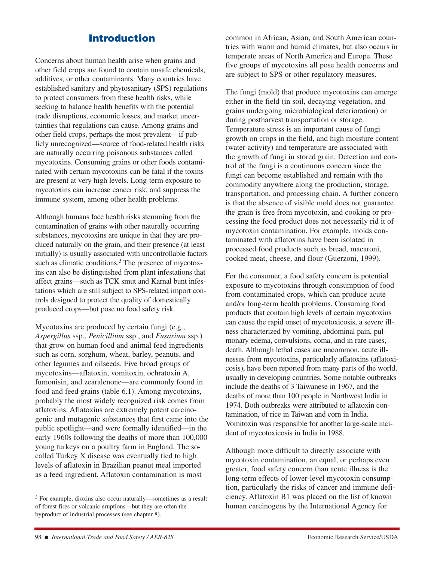# **Introduction**

Concerns about human health arise when grains and other field crops are found to contain unsafe chemicals, additives, or other contaminants. Many countries have established sanitary and phytosanitary (SPS) regulations to protect consumers from these health risks, while seeking to balance health benefits with the potential trade disruptions, economic losses, and market uncertainties that regulations can cause. Among grains and other field crops, perhaps the most prevalent—if publicly unrecognized—source of food-related health risks are naturally occurring poisonous substances called mycotoxins. Consuming grains or other foods contaminated with certain mycotoxins can be fatal if the toxins are present at very high levels. Long-term exposure to mycotoxins can increase cancer risk, and suppress the immune system, among other health problems.

Although humans face health risks stemming from the contamination of grains with other naturally occurring substances, mycotoxins are unique in that they are produced naturally on the grain, and their presence (at least initially) is usually associated with uncontrollable factors such as climatic conditions.<sup>3</sup> The presence of mycotoxins can also be distinguished from plant infestations that affect grains—such as TCK smut and Karnal bunt infestations which are still subject to SPS-related import controls designed to protect the quality of domestically produced crops—but pose no food safety risk.

Mycotoxins are produced by certain fungi (e.g., *Aspergillus* ssp., *Penicillium* ssp., and *Fusarium* ssp.) that grow on human food and animal feed ingredients such as corn, sorghum, wheat, barley, peanuts, and other legumes and oilseeds. Five broad groups of mycotoxins—aflatoxin, vomitoxin, ochratoxin A, fumonisin, and zearalenone—are commonly found in food and feed grains (table 6.1). Among mycotoxins, probably the most widely recognized risk comes from aflatoxins. Aflatoxins are extremely potent carcinogenic and mutagenic substances that first came into the public spotlight—and were formally identified—in the early 1960s following the deaths of more than 100,000 young turkeys on a poultry farm in England. The socalled Turkey X disease was eventually tied to high levels of aflatoxin in Brazilian peanut meal imported as a feed ingredient. Aflatoxin contamination is most

<sup>3</sup> For example, dioxins also occur naturally—sometimes as a result of forest fires or volcanic eruptions—but they are often the byproduct of industrial processes (see chapter 8).

common in African, Asian, and South American countries with warm and humid climates, but also occurs in temperate areas of North America and Europe. These five groups of mycotoxins all pose health concerns and are subject to SPS or other regulatory measures.

The fungi (mold) that produce mycotoxins can emerge either in the field (in soil, decaying vegetation, and grains undergoing microbiological deterioration) or during postharvest transportation or storage. Temperature stress is an important cause of fungi growth on crops in the field, and high moisture content (water activity) and temperature are associated with the growth of fungi in stored grain. Detection and control of the fungi is a continuous concern since the fungi can become established and remain with the commodity anywhere along the production, storage, transportation, and processing chain. A further concern is that the absence of visible mold does not guarantee the grain is free from mycotoxin, and cooking or processing the food product does not necessarily rid it of mycotoxin contamination. For example, molds contaminated with aflatoxins have been isolated in processed food products such as bread, macaroni, cooked meat, cheese, and flour (Guerzoni, 1999).

For the consumer, a food safety concern is potential exposure to mycotoxins through consumption of food from contaminated crops, which can produce acute and/or long-term health problems. Consuming food products that contain high levels of certain mycotoxins can cause the rapid onset of mycotoxicosis, a severe illness characterized by vomiting, abdominal pain, pulmonary edema, convulsions, coma, and in rare cases, death. Although lethal cases are uncommon, acute illnesses from mycotoxins, particularly aflatoxins (aflatoxicosis), have been reported from many parts of the world, usually in developing countries. Some notable outbreaks include the deaths of 3 Taiwanese in 1967, and the deaths of more than 100 people in Northwest India in 1974. Both outbreaks were attributed to aflatoxin contamination, of rice in Taiwan and corn in India. Vomitoxin was responsible for another large-scale incident of mycotoxicosis in India in 1988.

Although more difficult to directly associate with mycotoxin contamination, an equal, or perhaps even greater, food safety concern than acute illness is the long-term effects of lower-level mycotoxin consumption, particularly the risks of cancer and immune deficiency. Aflatoxin B1 was placed on the list of known human carcinogens by the International Agency for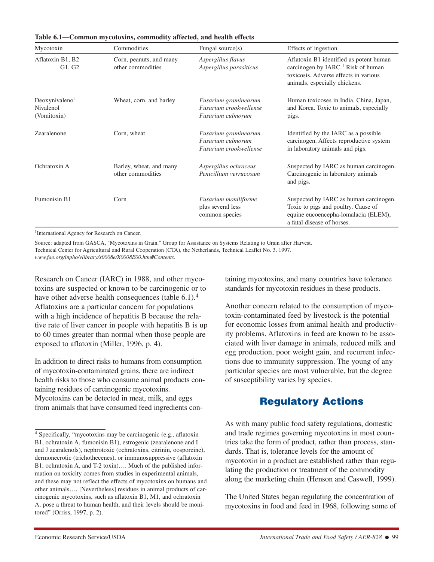| Mycotoxin                                 | Commodities                                  | Fungal source $(s)$                                                 | Effects of ingestion                                                                                                                                                |
|-------------------------------------------|----------------------------------------------|---------------------------------------------------------------------|---------------------------------------------------------------------------------------------------------------------------------------------------------------------|
| Aflatoxin B1, B2<br>G1, G2                | Corn, peanuts, and many<br>other commodities | Aspergillus flavus<br>Aspergillus parasiticus                       | Aflatoxin B1 identified as potent human<br>carcinogen by IARC. <sup>1</sup> Risk of human<br>toxicosis. Adverse effects in various<br>animals, especially chickens. |
| Deoxynivaleno<br>Nivalenol<br>(Vomitoxin) | Wheat, corn, and barley                      | Fusarium graminearum<br>Fusarium crookwellense<br>Fusarium culmorum | Human toxicoses in India, China, Japan,<br>and Korea. Toxic to animals, especially<br>pigs.                                                                         |
| Zearalenone                               | Corn, wheat                                  | Fusarium graminearum<br>Fusarium culmorum<br>Fusarium crookwellense | Identified by the IARC as a possible.<br>carcinogen. Affects reproductive system<br>in laboratory animals and pigs.                                                 |
| Ochratoxin A                              | Barley, wheat, and many<br>other commodities | Aspergillus ochraceus<br>Penicillium verrucosum                     | Suspected by IARC as human carcinogen.<br>Carcinogenic in laboratory animals<br>and pigs.                                                                           |
| Fumonisin B1                              | Corn                                         | <b>Fusarium</b> moniliforme<br>plus several less<br>common species  | Suspected by IARC as human carcinogen.<br>Toxic to pigs and poultry. Cause of<br>equine eucoencepha-lomalacia (ELEM),<br>a fatal disease of horses.                 |

**Table 6.1—Common mycotoxins, commodity affected, and health effects**

1International Agency for Research on Cancer.

Source: adapted from GASCA, "Mycotoxins in Grain." Group for Assistance on Systems Relating to Grain after Harvest. Technical Center for Agricultural and Rural Cooperation (CTA), the Netherlands, Technical Leaflet No. 3. 1997. *www.fao.org/inpho/vlibrary/x0008e/X0008E00.htm#Contents*.

Research on Cancer (IARC) in 1988, and other mycotoxins are suspected or known to be carcinogenic or to have other adverse health consequences (table  $6.1$ ).<sup>4</sup> Aflatoxins are a particular concern for populations with a high incidence of hepatitis B because the relative rate of liver cancer in people with hepatitis B is up to 60 times greater than normal when those people are exposed to aflatoxin (Miller, 1996, p. 4).

In addition to direct risks to humans from consumption of mycotoxin-contaminated grains, there are indirect health risks to those who consume animal products containing residues of carcinogenic mycotoxins. Mycotoxins can be detected in meat, milk, and eggs from animals that have consumed feed ingredients containing mycotoxins, and many countries have tolerance standards for mycotoxin residues in these products.

Another concern related to the consumption of mycotoxin-contaminated feed by livestock is the potential for economic losses from animal health and productivity problems. Aflatoxins in feed are known to be associated with liver damage in animals, reduced milk and egg production, poor weight gain, and recurrent infections due to immunity suppression. The young of any particular species are most vulnerable, but the degree of susceptibility varies by species.

# **Regulatory Actions**

As with many public food safety regulations, domestic and trade regimes governing mycotoxins in most countries take the form of product, rather than process, standards. That is, tolerance levels for the amount of mycotoxin in a product are established rather than regulating the production or treatment of the commodity along the marketing chain (Henson and Caswell, 1999).

The United States began regulating the concentration of mycotoxins in food and feed in 1968, following some of

<sup>4</sup> Specifically, "mycotoxins may be carcinogenic (e.g., aflatoxin B1, ochratoxin A, fumonisin B1), estrogenic (zearalenone and I and J zearalenols), nephrotoxic (ochratoxins, citrinin, oosporeine), dermonecrotic (trichothecenes), or immunosuppressive (aflatoxin B1, ochratoxin A, and T-2 toxin)…. Much of the published information on toxicity comes from studies in experimental animals, and these may not reflect the effects of mycotoxins on humans and other animals…. [Nevertheless] residues in animal products of carcinogenic mycotoxins, such as aflatoxin B1, M1, and ochratoxin A, pose a threat to human health, and their levels should be monitored" (Orriss, 1997, p. 2).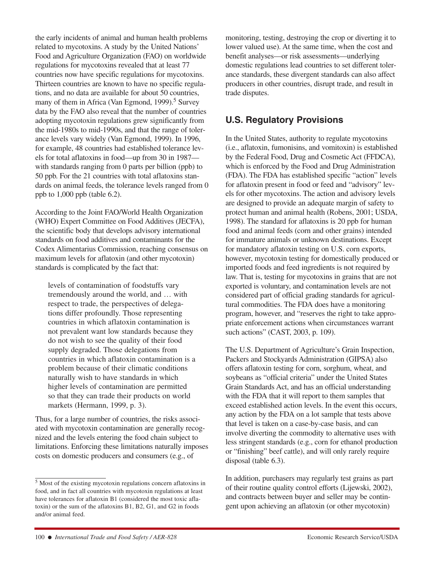the early incidents of animal and human health problems related to mycotoxins. A study by the United Nations' Food and Agriculture Organization (FAO) on worldwide regulations for mycotoxins revealed that at least 77 countries now have specific regulations for mycotoxins. Thirteen countries are known to have no specific regulations, and no data are available for about 50 countries, many of them in Africa (Van Egmond, 1999).<sup>5</sup> Survey data by the FAO also reveal that the number of countries adopting mycotoxin regulations grew significantly from the mid-1980s to mid-1990s, and that the range of tolerance levels vary widely (Van Egmond, 1999). In 1996, for example, 48 countries had established tolerance levels for total aflatoxins in food—up from 30 in 1987 with standards ranging from 0 parts per billion (ppb) to 50 ppb. For the 21 countries with total aflatoxins standards on animal feeds, the tolerance levels ranged from 0 ppb to 1,000 ppb (table 6.2).

According to the Joint FAO/World Health Organization (WHO) Expert Committee on Food Additives (JECFA), the scientific body that develops advisory international standards on food additives and contaminants for the Codex Alimentarius Commission, reaching consensus on maximum levels for aflatoxin (and other mycotoxin) standards is complicated by the fact that:

levels of contamination of foodstuffs vary tremendously around the world, and … with respect to trade, the perspectives of delegations differ profoundly. Those representing countries in which aflatoxin contamination is not prevalent want low standards because they do not wish to see the quality of their food supply degraded. Those delegations from countries in which aflatoxin contamination is a problem because of their climatic conditions naturally wish to have standards in which higher levels of contamination are permitted so that they can trade their products on world markets (Hermann, 1999, p. 3).

Thus, for a large number of countries, the risks associated with mycotoxin contamination are generally recognized and the levels entering the food chain subject to limitations. Enforcing these limitations naturally imposes costs on domestic producers and consumers (e.g., of

monitoring, testing, destroying the crop or diverting it to lower valued use). At the same time, when the cost and benefit analyses—or risk assessments—underlying domestic regulations lead countries to set different tolerance standards, these divergent standards can also affect producers in other countries, disrupt trade, and result in trade disputes.

# **U.S. Regulatory Provisions**

In the United States, authority to regulate mycotoxins (i.e., aflatoxin, fumonisins, and vomitoxin) is established by the Federal Food, Drug and Cosmetic Act (FFDCA), which is enforced by the Food and Drug Administration (FDA). The FDA has established specific "action" levels for aflatoxin present in food or feed and "advisory" levels for other mycotoxins. The action and advisory levels are designed to provide an adequate margin of safety to protect human and animal health (Robens, 2001; USDA, 1998). The standard for aflatoxins is 20 ppb for human food and animal feeds (corn and other grains) intended for immature animals or unknown destinations. Except for mandatory aflatoxin testing on U.S. corn exports, however, mycotoxin testing for domestically produced or imported foods and feed ingredients is not required by law. That is, testing for mycotoxins in grains that are not exported is voluntary, and contamination levels are not considered part of official grading standards for agricultural commodities. The FDA does have a monitoring program, however, and "reserves the right to take appropriate enforcement actions when circumstances warrant such actions" (CAST, 2003, p. 109).

The U.S. Department of Agriculture's Grain Inspection, Packers and Stockyards Administration (GIPSA) also offers aflatoxin testing for corn, sorghum, wheat, and soybeans as "official criteria" under the United States Grain Standards Act, and has an official understanding with the FDA that it will report to them samples that exceed established action levels. In the event this occurs, any action by the FDA on a lot sample that tests above that level is taken on a case-by-case basis, and can involve diverting the commodity to alternative uses with less stringent standards (e.g., corn for ethanol production or "finishing" beef cattle), and will only rarely require disposal (table 6.3).

In addition, purchasers may regularly test grains as part of their routine quality control efforts (Lijewski, 2002), and contracts between buyer and seller may be contingent upon achieving an aflatoxin (or other mycotoxin)

<sup>5</sup> Most of the existing mycotoxin regulations concern aflatoxins in food, and in fact all countries with mycotoxin regulations at least have tolerances for aflatoxin B1 (considered the most toxic aflatoxin) or the sum of the aflatoxins B1, B2, G1, and G2 in foods and/or animal feed.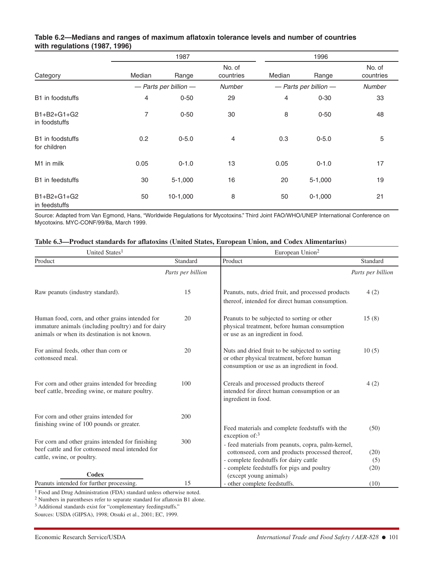#### **Table 6.2—Medians and ranges of maximum aflatoxin tolerance levels and number of countries with regulations (1987, 1996)**

|                                      | 1987   |                           |                     | 1996   |                           |                     |
|--------------------------------------|--------|---------------------------|---------------------|--------|---------------------------|---------------------|
| Category                             | Median | Range                     | No. of<br>countries | Median | Range                     | No. of<br>countries |
|                                      |        | $-$ Parts per billion $-$ | <b>Number</b>       |        | $-$ Parts per billion $-$ | <b>Number</b>       |
| B1 in foodstuffs                     | 4      | $0 - 50$                  | 29                  | 4      | $0 - 30$                  | 33                  |
| $B1 + B2 + G1 + G2$<br>in foodstuffs | 7      | $0 - 50$                  | 30                  | 8      | $0 - 50$                  | 48                  |
| B1 in foodstuffs<br>for children     | 0.2    | $0 - 5.0$                 | $\overline{4}$      | 0.3    | $0 - 5.0$                 | 5                   |
| M <sub>1</sub> in milk               | 0.05   | $0 - 1.0$                 | 13                  | 0.05   | $0 - 1.0$                 | 17                  |
| B1 in feedstuffs                     | 30     | $5 - 1,000$               | 16                  | 20     | $5-1,000$                 | 19                  |
| B1+B2+G1+G2<br>in feedstuffs         | 50     | $10-1,000$                | 8                   | 50     | $0-1,000$                 | 21                  |

Source: Adapted from Van Egmond, Hans, "Worldwide Regulations for Mycotoxins." Third Joint FAO/WHO/UNEP International Conference on Mycotoxins. MYC-CONF/99/8a, March 1999.

| United States <sup>1</sup>                                                                                                                             |                   | European Union <sup>2</sup>                                                                                                                  |                   |  |
|--------------------------------------------------------------------------------------------------------------------------------------------------------|-------------------|----------------------------------------------------------------------------------------------------------------------------------------------|-------------------|--|
| Product                                                                                                                                                | Standard          | Product                                                                                                                                      | Standard          |  |
|                                                                                                                                                        | Parts per billion |                                                                                                                                              | Parts per billion |  |
| Raw peanuts (industry standard).                                                                                                                       | 15                | Peanuts, nuts, dried fruit, and processed products<br>thereof, intended for direct human consumption.                                        | 4(2)              |  |
| Human food, corn, and other grains intended for<br>immature animals (including poultry) and for dairy<br>animals or when its destination is not known. | 20                | Peanuts to be subjected to sorting or other<br>physical treatment, before human consumption<br>or use as an ingredient in food.              | 15(8)             |  |
| For animal feeds, other than corn or<br>cottonseed meal.                                                                                               | 20                | Nuts and dried fruit to be subjected to sorting<br>or other physical treatment, before human<br>consumption or use as an ingredient in food. | 10(5)             |  |
| For corn and other grains intended for breeding<br>beef cattle, breeding swine, or mature poultry.                                                     | 100               | Cereals and processed products thereof<br>intended for direct human consumption or an<br>ingredient in food.                                 | 4(2)              |  |
| For corn and other grains intended for<br>finishing swine of 100 pounds or greater.                                                                    | 200               | Feed materials and complete feedstuffs with the                                                                                              | (50)              |  |
| For corn and other grains intended for finishing<br>beef cattle and for cottonseed meal intended for<br>cattle, swine, or poultry.                     | 300               | exception of: $3$<br>- feed materials from peanuts, copra, palm-kernel,<br>cottonseed, corn and products processed thereof,                  | (20)              |  |
|                                                                                                                                                        |                   | - complete feedstuffs for dairy cattle                                                                                                       | (5)               |  |
| Codex                                                                                                                                                  |                   | - complete feedstuffs for pigs and poultry<br>(except young animals)                                                                         | (20)              |  |
| Peanuts intended for further processing.                                                                                                               | 15                | - other complete feedstuffs.                                                                                                                 | (10)              |  |

<sup>1</sup> Food and Drug Administration (FDA) standard unless otherwise noted.

<sup>2</sup> Numbers in parentheses refer to separate standard for aflatoxin B1 alone.

<sup>3</sup> Additional standards exist for "complementary feedingstuffs."

Sources: USDA (GIPSA), 1998; Otsuki et al., 2001; EC, 1999.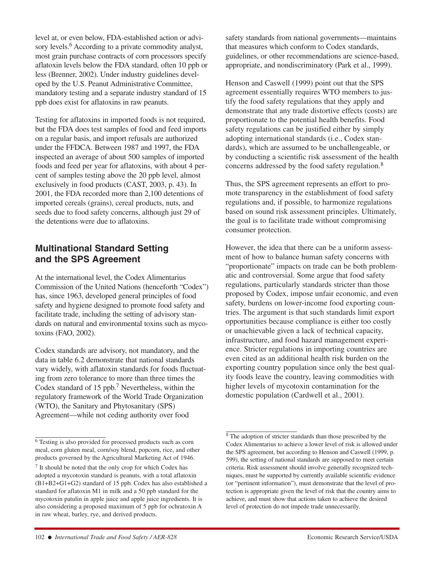level at, or even below, FDA-established action or advisory levels.<sup>6</sup> According to a private commodity analyst, most grain purchase contracts of corn processors specify aflatoxin levels below the FDA standard, often 10 ppb or less (Brenner, 2002). Under industry guidelines developed by the U.S. Peanut Administrative Committee, mandatory testing and a separate industry standard of 15 ppb does exist for aflatoxins in raw peanuts.

Testing for aflatoxins in imported foods is not required, but the FDA does test samples of food and feed imports on a regular basis, and import refusals are authorized under the FFDCA. Between 1987 and 1997, the FDA inspected an average of about 500 samples of imported foods and feed per year for aflatoxins, with about 4 percent of samples testing above the 20 ppb level, almost exclusively in food products (CAST, 2003, p. 43). In 2001, the FDA recorded more than 2,100 detentions of imported cereals (grains), cereal products, nuts, and seeds due to food safety concerns, although just 29 of the detentions were due to aflatoxins.

# **Multinational Standard Setting and the SPS Agreement**

At the international level, the Codex Alimentarius Commission of the United Nations (henceforth "Codex") has, since 1963, developed general principles of food safety and hygiene designed to promote food safety and facilitate trade, including the setting of advisory standards on natural and environmental toxins such as mycotoxins (FAO, 2002).

Codex standards are advisory, not mandatory, and the data in table 6.2 demonstrate that national standards vary widely, with aflatoxin standards for foods fluctuating from zero tolerance to more than three times the Codex standard of 15 ppb.7 Nevertheless, within the regulatory framework of the World Trade Organization (WTO), the Sanitary and Phytosanitary (SPS) Agreement—while not ceding authority over food

safety standards from national governments—maintains that measures which conform to Codex standards, guidelines, or other recommendations are science-based, appropriate, and nondiscriminatory (Park et al., 1999).

Henson and Caswell (1999) point out that the SPS agreement essentially requires WTO members to justify the food safety regulations that they apply and demonstrate that any trade distortive effects (costs) are proportionate to the potential health benefits. Food safety regulations can be justified either by simply adopting international standards (i.e., Codex standards), which are assumed to be unchallengeable, or by conducting a scientific risk assessment of the health concerns addressed by the food safety regulation.<sup>8</sup>

Thus, the SPS agreement represents an effort to promote transparency in the establishment of food safety regulations and, if possible, to harmonize regulations based on sound risk assessment principles. Ultimately, the goal is to facilitate trade without compromising consumer protection.

However, the idea that there can be a uniform assessment of how to balance human safety concerns with "proportionate" impacts on trade can be both problematic and controversial. Some argue that food safety regulations, particularly standards stricter than those proposed by Codex, impose unfair economic, and even safety, burdens on lower-income food exporting countries. The argument is that such standards limit export opportunities because compliance is either too costly or unachievable given a lack of technical capacity, infrastructure, and food hazard management experience. Stricter regulations in importing countries are even cited as an additional health risk burden on the exporting country population since only the best quality foods leave the country, leaving commodities with higher levels of mycotoxin contamination for the domestic population (Cardwell et al., 2001).

<sup>6</sup> Testing is also provided for processed products such as corn meal, corn gluten meal, corn/soy blend, popcorn, rice, and other products governed by the Agricultural Marketing Act of 1946.

<sup>7</sup> It should be noted that the only crop for which Codex has adopted a mycotoxin standard is peanuts, with a total aflatoxin (B1+B2+G1+G2) standard of 15 ppb. Codex has also established a standard for aflatoxin M1 in milk and a 50 ppb standard for the mycotoxin patulin in apple juice and apple juice ingredients. It is also considering a proposed maximum of 5 ppb for ochratoxin A in raw wheat, barley, rye, and derived products.

<sup>8</sup> The adoption of stricter standards than those prescribed by the Codex Alimentarius to achieve a lower level of risk is allowed under the SPS agreement, but according to Henson and Caswell (1999, p. 599), the setting of national standards are supposed to meet certain criteria. Risk assessment should involve generally recognized techniques, must be supported by currently available scientific evidence (or "pertinent information"), must demonstrate that the level of protection is appropriate given the level of risk that the country aims to achieve, and must show that actions taken to achieve the desired level of protection do not impede trade unnecessarily.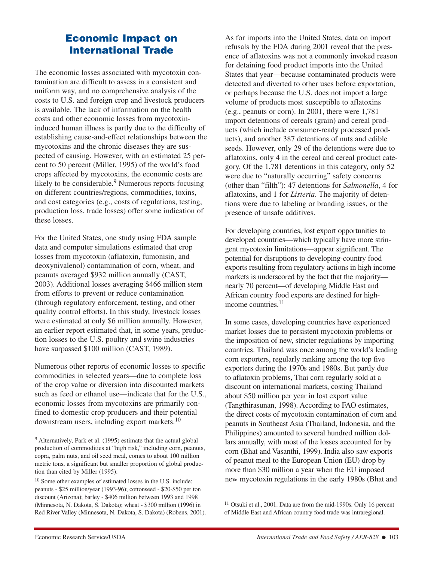# **Economic Impact on International Trade**

The economic losses associated with mycotoxin contamination are difficult to assess in a consistent and uniform way, and no comprehensive analysis of the costs to U.S. and foreign crop and livestock producers is available. The lack of information on the health costs and other economic losses from mycotoxininduced human illness is partly due to the difficulty of establishing cause-and-effect relationships between the mycotoxins and the chronic diseases they are suspected of causing. However, with an estimated 25 percent to 50 percent (Miller, 1995) of the world's food crops affected by mycotoxins, the economic costs are likely to be considerable.<sup>9</sup> Numerous reports focusing on different countries/regions, commodities, toxins, and cost categories (e.g., costs of regulations, testing, production loss, trade losses) offer some indication of these losses.

For the United States, one study using FDA sample data and computer simulations estimated that crop losses from mycotoxin (aflatoxin, fumonisin, and deoxynivalenol) contamination of corn, wheat, and peanuts averaged \$932 million annually (CAST, 2003). Additional losses averaging \$466 million stem from efforts to prevent or reduce contamination (through regulatory enforcement, testing, and other quality control efforts). In this study, livestock losses were estimated at only \$6 million annually. However, an earlier report estimated that, in some years, production losses to the U.S. poultry and swine industries have surpassed \$100 million (CAST, 1989).

Numerous other reports of economic losses to specific commodities in selected years—due to complete loss of the crop value or diversion into discounted markets such as feed or ethanol use—indicate that for the U.S., economic losses from mycotoxins are primarily confined to domestic crop producers and their potential downstream users, including export markets.10

As for imports into the United States, data on import refusals by the FDA during 2001 reveal that the presence of aflatoxins was not a commonly invoked reason for detaining food product imports into the United States that year—because contaminated products were detected and diverted to other uses before exportation, or perhaps because the U.S. does not import a large volume of products most susceptible to aflatoxins (e.g., peanuts or corn). In 2001, there were 1,781 import detentions of cereals (grain) and cereal products (which include consumer-ready processed products), and another 387 detentions of nuts and edible seeds. However, only 29 of the detentions were due to aflatoxins, only 4 in the cereal and cereal product category. Of the 1,781 detentions in this category, only 52 were due to "naturally occurring" safety concerns (other than "filth"): 47 detentions for *Salmonella*, 4 for aflatoxins, and 1 for *Listeria*. The majority of detentions were due to labeling or branding issues, or the presence of unsafe additives.

For developing countries, lost export opportunities to developed countries—which typically have more stringent mycotoxin limitations—appear significant. The potential for disruptions to developing-country food exports resulting from regulatory actions in high income markets is underscored by the fact that the majority nearly 70 percent—of developing Middle East and African country food exports are destined for highincome countries.11

In some cases, developing countries have experienced market losses due to persistent mycotoxin problems or the imposition of new, stricter regulations by importing countries. Thailand was once among the world's leading corn exporters, regularly ranking among the top five exporters during the 1970s and 1980s. But partly due to aflatoxin problems, Thai corn regularly sold at a discount on international markets, costing Thailand about \$50 million per year in lost export value (Tangthirasunan, 1998). According to FAO estimates, the direct costs of mycotoxin contamination of corn and peanuts in Southeast Asia (Thailand, Indonesia, and the Philippines) amounted to several hundred million dollars annually, with most of the losses accounted for by corn (Bhat and Vasanthi, 1999). India also saw exports of peanut meal to the European Union (EU) drop by more than \$30 million a year when the EU imposed new mycotoxin regulations in the early 1980s (Bhat and

<sup>9</sup> Alternatively, Park et al. (1995) estimate that the actual global production of commodities at "high risk," including corn, peanuts, copra, palm nuts, and oil seed meal, comes to about 100 million metric tons, a significant but smaller proportion of global production than cited by Miller (1995).

<sup>10</sup> Some other examples of estimated losses in the U.S. include: peanuts - \$25 million/year (1993-96); cottonseed - \$20-\$50 per ton discount (Arizona); barley - \$406 million between 1993 and 1998 (Minnesota, N. Dakota, S. Dakota); wheat - \$300 million (1996) in Red River Valley (Minnesota, N. Dakota, S. Dakota) (Robens, 2001).

<sup>&</sup>lt;sup>11</sup> Otsuki et al., 2001. Data are from the mid-1990s. Only 16 percent of Middle East and African country food trade was intraregional.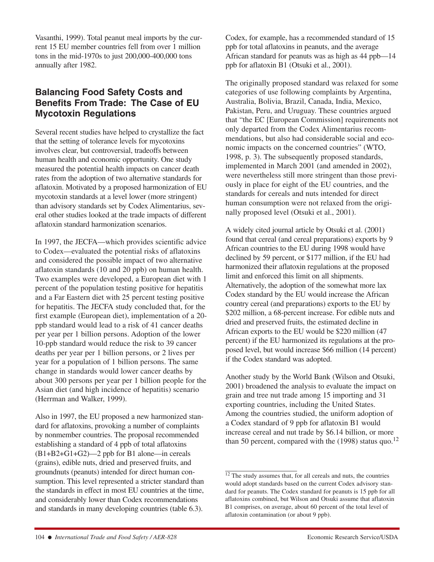Vasanthi, 1999). Total peanut meal imports by the current 15 EU member countries fell from over 1 million tons in the mid-1970s to just 200,000-400,000 tons annually after 1982.

# **Balancing Food Safety Costs and Benefits From Trade: The Case of EU Mycotoxin Regulations**

Several recent studies have helped to crystallize the fact that the setting of tolerance levels for mycotoxins involves clear, but controversial, tradeoffs between human health and economic opportunity. One study measured the potential health impacts on cancer death rates from the adoption of two alternative standards for aflatoxin. Motivated by a proposed harmonization of EU mycotoxin standards at a level lower (more stringent) than advisory standards set by Codex Alimentarius, several other studies looked at the trade impacts of different aflatoxin standard harmonization scenarios.

In 1997, the JECFA—which provides scientific advice to Codex—evaluated the potential risks of aflatoxins and considered the possible impact of two alternative aflatoxin standards (10 and 20 ppb) on human health. Two examples were developed, a European diet with 1 percent of the population testing positive for hepatitis and a Far Eastern diet with 25 percent testing positive for hepatitis. The JECFA study concluded that, for the first example (European diet), implementation of a 20 ppb standard would lead to a risk of 41 cancer deaths per year per 1 billion persons. Adoption of the lower 10-ppb standard would reduce the risk to 39 cancer deaths per year per 1 billion persons, or 2 lives per year for a population of 1 billion persons. The same change in standards would lower cancer deaths by about 300 persons per year per 1 billion people for the Asian diet (and high incidence of hepatitis) scenario (Herrman and Walker, 1999).

Also in 1997, the EU proposed a new harmonized standard for aflatoxins, provoking a number of complaints by nonmember countries. The proposal recommended establishing a standard of 4 ppb of total aflatoxins (B1+B2+G1+G2)—2 ppb for B1 alone—in cereals (grains), edible nuts, dried and preserved fruits, and groundnuts (peanuts) intended for direct human consumption. This level represented a stricter standard than the standards in effect in most EU countries at the time, and considerably lower than Codex recommendations and standards in many developing countries (table 6.3).

Codex, for example, has a recommended standard of 15 ppb for total aflatoxins in peanuts, and the average African standard for peanuts was as high as 44 ppb—14 ppb for aflatoxin B1 (Otsuki et al., 2001).

The originally proposed standard was relaxed for some categories of use following complaints by Argentina, Australia, Bolivia, Brazil, Canada, India, Mexico, Pakistan, Peru, and Uruguay. These countries argued that "the EC [European Commission] requirements not only departed from the Codex Alimentarius recommendations, but also had considerable social and economic impacts on the concerned countries" (WTO, 1998, p. 3). The subsequently proposed standards, implemented in March 2001 (and amended in 2002), were nevertheless still more stringent than those previously in place for eight of the EU countries, and the standards for cereals and nuts intended for direct human consumption were not relaxed from the originally proposed level (Otsuki et al., 2001).

A widely cited journal article by Otsuki et al. (2001) found that cereal (and cereal preparations) exports by 9 African countries to the EU during 1998 would have declined by 59 percent, or \$177 million, if the EU had harmonized their aflatoxin regulations at the proposed limit and enforced this limit on all shipments. Alternatively, the adoption of the somewhat more lax Codex standard by the EU would increase the African country cereal (and preparations) exports to the EU by \$202 million, a 68-percent increase. For edible nuts and dried and preserved fruits, the estimated decline in African exports to the EU would be \$220 million (47 percent) if the EU harmonized its regulations at the proposed level, but would increase \$66 million (14 percent) if the Codex standard was adopted.

Another study by the World Bank (Wilson and Otsuki, 2001) broadened the analysis to evaluate the impact on grain and tree nut trade among 15 importing and 31 exporting countries, including the United States. Among the countries studied, the uniform adoption of a Codex standard of 9 ppb for aflatoxin B1 would increase cereal and nut trade by \$6.14 billion, or more than 50 percent, compared with the  $(1998)$  status quo.<sup>12</sup>

 $\frac{12}{12}$  The study assumes that, for all cereals and nuts, the countries would adopt standards based on the current Codex advisory standard for peanuts. The Codex standard for peanuts is 15 ppb for all aflatoxins combined, but Wilson and Otsuki assume that aflatoxin B1 comprises, on average, about 60 percent of the total level of aflatoxin contamination (or about 9 ppb).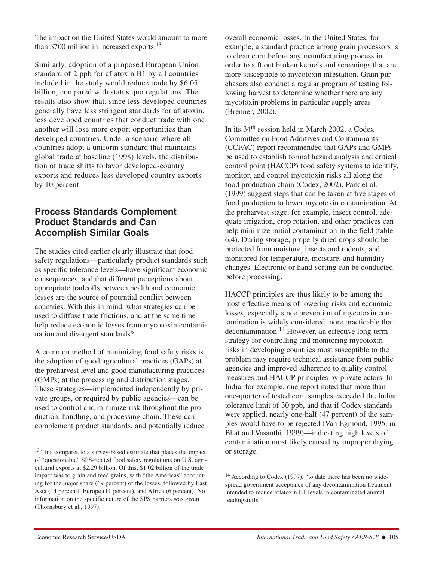The impact on the United States would amount to more than \$700 million in increased exports.13

Similarly, adoption of a proposed European Union standard of 2 ppb for aflatoxin B1 by all countries included in the study would reduce trade by \$6.05 billion, compared with status quo regulations. The results also show that, since less developed countries generally have less stringent standards for aflatoxin, less developed countries that conduct trade with one another will lose more export opportunities than developed countries. Under a scenario where all countries adopt a uniform standard that maintains global trade at baseline (1998) levels, the distribution of trade shifts to favor developed-country exports and reduces less developed country exports by 10 percent.

# **Process Standards Complement Product Standards and Can Accomplish Similar Goals**

The studies cited earlier clearly illustrate that food safety regulations—particularly product standards such as specific tolerance levels—have significant economic consequences, and that different perceptions about appropriate tradeoffs between health and economic losses are the source of potential conflict between countries. With this in mind, what strategies can be used to diffuse trade frictions, and at the same time help reduce economic losses from mycotoxin contamination and divergent standards?

A common method of minimizing food safety risks is the adoption of good agricultural practices (GAPs) at the preharvest level and good manufacturing practices (GMPs) at the processing and distribution stages. These strategies—implemented independently by private groups, or required by public agencies—can be used to control and minimize risk throughout the production, handling, and processing chain. These can complement product standards, and potentially reduce overall economic losses. In the United States, for example, a standard practice among grain processors is to clean corn before any manufacturing process in order to sift out broken kernels and screenings that are more susceptible to mycotoxin infestation. Grain purchasers also conduct a regular program of testing following harvest to determine whether there are any mycotoxin problems in particular supply areas (Brenner, 2002).

In its 34th session held in March 2002, a Codex Committee on Food Additives and Contaminants (CCFAC) report recommended that GAPs and GMPs be used to establish formal hazard analysis and critical control point (HACCP) food safety systems to identify, monitor, and control mycotoxin risks all along the food production chain (Codex, 2002). Park et al. (1999) suggest steps that can be taken at five stages of food production to lower mycotoxin contamination. At the preharvest stage, for example, insect control, adequate irrigation, crop rotation, and other practices can help minimize initial contamination in the field (table 6.4). During storage, properly dried crops should be protected from moisture, insects and rodents, and monitored for temperature, moisture, and humidity changes. Electronic or hand-sorting can be conducted before processing.

HACCP principles are thus likely to be among the most effective means of lowering risks and economic losses, especially since prevention of mycotoxin contamination is widely considered more practicable than decontamination.<sup>14</sup> However, an effective long-term strategy for controlling and monitoring mycotoxin risks in developing countries most susceptible to the problem may require technical assistance from public agencies and improved adherence to quality control measures and HACCP principles by private actors. In India, for example, one report noted that more than one-quarter of tested corn samples exceeded the Indian tolerance limit of 30 ppb, and that if Codex standards were applied, nearly one-half (47 percent) of the samples would have to be rejected (Van Egmond, 1995, in Bhat and Vasanthi, 1999)—indicating high levels of contamination most likely caused by improper drying or storage.

<sup>&</sup>lt;sup>13</sup> This compares to a survey-based estimate that places the impact of "questionable" SPS-related food safety regulations on U.S. agricultural exports at \$2.29 billion. Of this, \$1.02 billion of the trade impact was to grain and feed grains, with "the Americas" accounting for the major share (69 percent) of the losses, followed by East Asia (14 percent), Europe (11 percent), and Africa (6 percent). No information on the specific nature of the SPS barriers was given (Thornsbury et al., 1997).

 $\frac{14}{14}$  According to Codex (1997), "to date there has been no widespread government acceptance of any decontamination treatment intended to reduce aflatoxin B1 levels in contaminated animal feedingstuffs."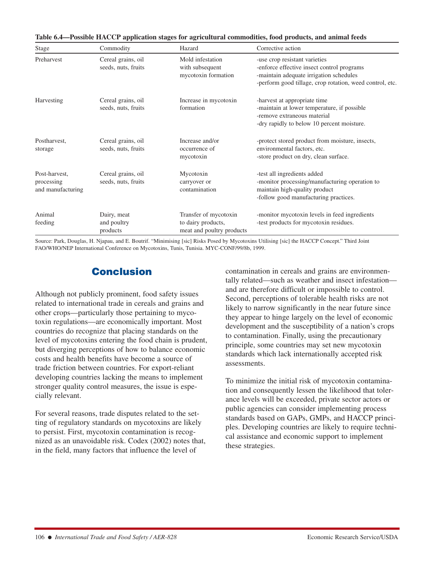| Stage                                            | Commodity                                 | Hazard                                                                   | Corrective action                                                                                                                                                                  |
|--------------------------------------------------|-------------------------------------------|--------------------------------------------------------------------------|------------------------------------------------------------------------------------------------------------------------------------------------------------------------------------|
| Preharvest                                       | Cereal grains, oil<br>seeds, nuts, fruits | Mold infestation<br>with subsequent<br>mycotoxin formation               | -use crop resistant varieties<br>-enforce effective insect control programs<br>-maintain adequate irrigation schedules<br>-perform good tillage, crop rotation, weed control, etc. |
| Harvesting                                       | Cereal grains, oil<br>seeds, nuts, fruits | Increase in mycotoxin<br>formation                                       | -harvest at appropriate time<br>-maintain at lower temperature, if possible<br>-remove extraneous material<br>-dry rapidly to below 10 percent moisture.                           |
| Postharvest,<br>storage                          | Cereal grains, oil<br>seeds, nuts, fruits | Increase and/or<br>occurrence of<br>mycotoxin                            | -protect stored product from moisture, insects,<br>environmental factors, etc.<br>-store product on dry, clean surface.                                                            |
| Post-harvest,<br>processing<br>and manufacturing | Cereal grains, oil<br>seeds, nuts, fruits | Mycotoxin<br>carryover or<br>contamination                               | -test all ingredients added<br>-monitor processing/manufacturing operation to<br>maintain high-quality product<br>-follow good manufacturing practices.                            |
| Animal<br>feeding                                | Dairy, meat<br>and poultry<br>products    | Transfer of mycotoxin<br>to dairy products,<br>meat and poultry products | -monitor mycotoxin levels in feed ingredients<br>-test products for mycotoxin residues.                                                                                            |

**Table 6.4—Possible HACCP application stages for agricultural commodities, food products, and animal feeds**

Source: Park, Douglas, H. Njapau, and E. Boutrif. "Minimising [sic] Risks Posed by Mycotoxins Utilising [sic] the HACCP Concept." Third Joint FAO/WHO/NEP International Conference on Mycotoxins, Tunis, Tunisia. MYC-CONF/99/8b, 1999.

# **Conclusion**

Although not publicly prominent, food safety issues related to international trade in cereals and grains and other crops—particularly those pertaining to mycotoxin regulations—are economically important. Most countries do recognize that placing standards on the level of mycotoxins entering the food chain is prudent, but diverging perceptions of how to balance economic costs and health benefits have become a source of trade friction between countries. For export-reliant developing countries lacking the means to implement stronger quality control measures, the issue is especially relevant.

For several reasons, trade disputes related to the setting of regulatory standards on mycotoxins are likely to persist. First, mycotoxin contamination is recognized as an unavoidable risk. Codex (2002) notes that, in the field, many factors that influence the level of

contamination in cereals and grains are environmentally related—such as weather and insect infestation and are therefore difficult or impossible to control. Second, perceptions of tolerable health risks are not likely to narrow significantly in the near future since they appear to hinge largely on the level of economic development and the susceptibility of a nation's crops to contamination. Finally, using the precautionary principle, some countries may set new mycotoxin standards which lack internationally accepted risk assessments.

To minimize the initial risk of mycotoxin contamination and consequently lessen the likelihood that tolerance levels will be exceeded, private sector actors or public agencies can consider implementing process standards based on GAPs, GMPs, and HACCP principles. Developing countries are likely to require technical assistance and economic support to implement these strategies.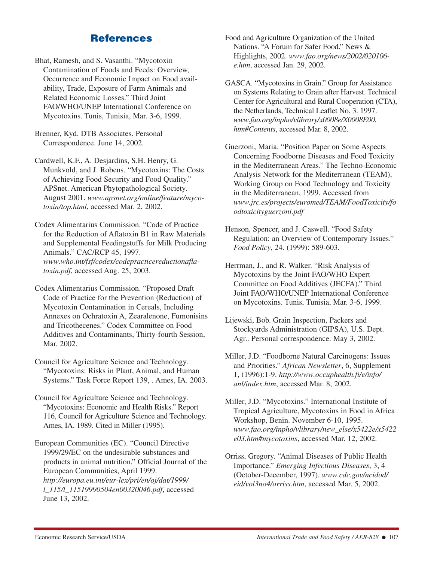# **References**

- Bhat, Ramesh, and S. Vasanthi. "Mycotoxin Contamination of Foods and Feeds: Overview, Occurrence and Economic Impact on Food availability, Trade, Exposure of Farm Animals and Related Economic Losses." Third Joint FAO/WHO/UNEP International Conference on Mycotoxins. Tunis, Tunisia, Mar. 3-6, 1999.
- Brenner, Kyd. DTB Associates. Personal Correspondence. June 14, 2002.
- Cardwell, K.F., A. Desjardins, S.H. Henry, G. Munkvold, and J. Robens. "Mycotoxins: The Costs of Achieving Food Security and Food Quality." APSnet. American Phytopathological Society. August 2001. *www.apsnet.org/online/feature/mycotoxin/top.html*, accessed Mar. 2, 2002.
- Codex Alimentarius Commission. "Code of Practice for the Reduction of Aflatoxin B1 in Raw Materials and Supplemental Feedingstuffs for Milk Producing Animals." CAC/RCP 45, 1997. *www.who.int/fsf/codex/codepracticereductionaflatoxin.pdf*, accessed Aug. 25, 2003.
- Codex Alimentarius Commission. "Proposed Draft Code of Practice for the Prevention (Reduction) of Mycotoxin Contamination in Cereals, Including Annexes on Ochratoxin A, Zearalenone, Fumonisins and Tricothecenes." Codex Committee on Food Additives and Contaminants, Thirty-fourth Session, Mar. 2002.
- Council for Agriculture Science and Technology. "Mycotoxins: Risks in Plant, Animal, and Human Systems." Task Force Report 139, . Ames, IA. 2003.
- Council for Agriculture Science and Technology. "Mycotoxins: Economic and Health Risks." Report 116, Council for Agriculture Science and Technology. Ames, IA. 1989. Cited in Miller (1995).
- European Communities (EC). "Council Directive 1999/29/EC on the undesirable substances and products in animal nutrition." Official Journal of the European Communities, April 1999. *http://europa.eu.int/eur-lex/pri/en/oj/dat/1999/ l\_115/l\_11519990504en00320046.pdf*, accessed June 13, 2002.

Food and Agriculture Organization of the United Nations. "A Forum for Safer Food." News & Highlights, 2002. *www.fao.org/news/2002/020106 e.htm*, accessed Jan. 29, 2002.

- GASCA. "Mycotoxins in Grain." Group for Assistance on Systems Relating to Grain after Harvest. Technical Center for Agricultural and Rural Cooperation (CTA), the Netherlands, Technical Leaflet No. 3. 1997. *www.fao.org/inpho/vlibrary/x0008e/X0008E00. htm#Contents*, accessed Mar. 8, 2002.
- Guerzoni, Maria. "Position Paper on Some Aspects Concerning Foodborne Diseases and Food Toxicity in the Mediterranean Areas." The Techno-Economic Analysis Network for the Mediterranean (TEAM), Working Group on Food Technology and Toxicity in the Mediterranean, 1999. Accessed from *www.jrc.es/projects/euromed/TEAM/FoodToxicity/fo odtoxicityguerzoni.pdf*
- Henson, Spencer, and J. Caswell. "Food Safety Regulation: an Overview of Contemporary Issues." *Food Policy*, 24. (1999): 589-603.
- Herrman, J., and R. Walker. "Risk Analysis of Mycotoxins by the Joint FAO/WHO Expert Committee on Food Additives (JECFA)." Third Joint FAO/WHO/UNEP International Conference on Mycotoxins. Tunis, Tunisia, Mar. 3-6, 1999.
- Lijewski, Bob. Grain Inspection, Packers and Stockyards Administration (GIPSA), U.S. Dept. Agr.. Personal correspondence. May 3, 2002.
- Miller, J.D. "Foodborne Natural Carcinogens: Issues and Priorities." *African Newsletter*, 6, Supplement 1, (1996):1-9. *http://www.occuphealth.fi/e/info/ anl/index.htm*, accessed Mar. 8, 2002.
- Miller, J.D. "Mycotoxins." International Institute of Tropical Agriculture, Mycotoxins in Food in Africa Workshop, Benin. November 6-10, 1995. *www.fao.org/inpho/vlibrary/new\_else/x5422e/x5422 e03.htm#mycotoxins*, accessed Mar. 12, 2002.
- Orriss, Gregory. "Animal Diseases of Public Health Importance." *Emerging Infectious Diseases*, 3, 4 (October-December, 1997). *www.cdc.gov/ncidod/ eid/vol3no4/orriss.htm*, accessed Mar. 5, 2002.